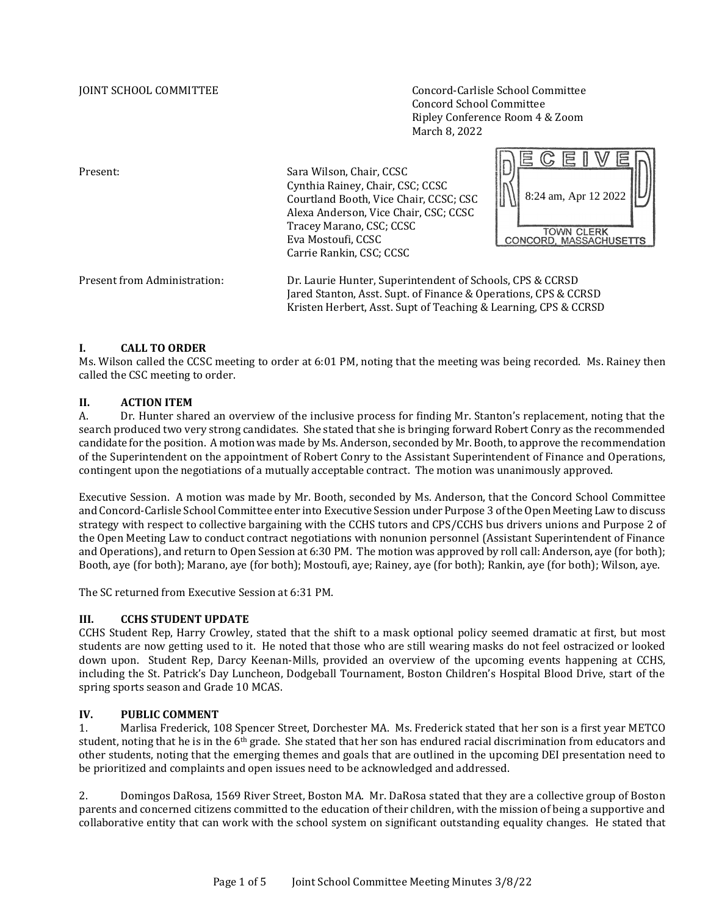JOINT SCHOOL COMMITTEE Concord-Carlisle School Committee Concord School Committee Ripley Conference Room 4 & Zoom March 8, 2022

Present: Sara Wilson, Chair, CCSC Cynthia Rainey, Chair, CSC; CCSC Courtland Booth, Vice Chair, CCSC; CSC Alexa Anderson, Vice Chair, CSC; CCSC Tracey Marano, CSC; CCSC Eva Mostoufi, CCSC Carrie Rankin, CSC; CCSC



Present from Administration: Dr. Laurie Hunter, Superintendent of Schools, CPS & CCRSD Jared Stanton, Asst. Supt. of Finance & Operations, CPS & CCRSD Kristen Herbert, Asst. Supt of Teaching & Learning, CPS & CCRSD

#### **I. CALL TO ORDER**

Ms. Wilson called the CCSC meeting to order at 6:01 PM, noting that the meeting was being recorded. Ms. Rainey then called the CSC meeting to order.

# **II. ACTION ITEM**

A. Dr. Hunter shared an overview of the inclusive process for finding Mr. Stanton's replacement, noting that the search produced two very strong candidates. She stated that she is bringing forward Robert Conry as the recommended candidate for the position. A motion was made by Ms. Anderson, seconded by Mr. Booth, to approve the recommendation of the Superintendent on the appointment of Robert Conry to the Assistant Superintendent of Finance and Operations, contingent upon the negotiations of a mutually acceptable contract. The motion was unanimously approved.

Executive Session. A motion was made by Mr. Booth, seconded by Ms. Anderson, that the Concord School Committee and Concord-Carlisle School Committee enter into Executive Session under Purpose 3 of the Open Meeting Law to discuss strategy with respect to collective bargaining with the CCHS tutors and CPS/CCHS bus drivers unions and Purpose 2 of the Open Meeting Law to conduct contract negotiations with nonunion personnel (Assistant Superintendent of Finance and Operations), and return to Open Session at 6:30 PM. The motion was approved by roll call: Anderson, aye (for both); Booth, aye (for both); Marano, aye (for both); Mostoufi, aye; Rainey, aye (for both); Rankin, aye (for both); Wilson, aye.

The SC returned from Executive Session at 6:31 PM.

#### **III. CCHS STUDENT UPDATE**

CCHS Student Rep, Harry Crowley, stated that the shift to a mask optional policy seemed dramatic at first, but most students are now getting used to it. He noted that those who are still wearing masks do not feel ostracized or looked down upon. Student Rep, Darcy Keenan-Mills, provided an overview of the upcoming events happening at CCHS, including the St. Patrick's Day Luncheon, Dodgeball Tournament, Boston Children's Hospital Blood Drive, start of the spring sports season and Grade 10 MCAS.

### **IV. PUBLIC COMMENT**

1. Marlisa Frederick, 108 Spencer Street, Dorchester MA. Ms. Frederick stated that her son is a first year METCO student, noting that he is in the  $6<sup>th</sup>$  grade. She stated that her son has endured racial discrimination from educators and other students, noting that the emerging themes and goals that are outlined in the upcoming DEI presentation need to be prioritized and complaints and open issues need to be acknowledged and addressed.

2. Domingos DaRosa, 1569 River Street, Boston MA. Mr. DaRosa stated that they are a collective group of Boston parents and concerned citizens committed to the education of their children, with the mission of being a supportive and collaborative entity that can work with the school system on significant outstanding equality changes. He stated that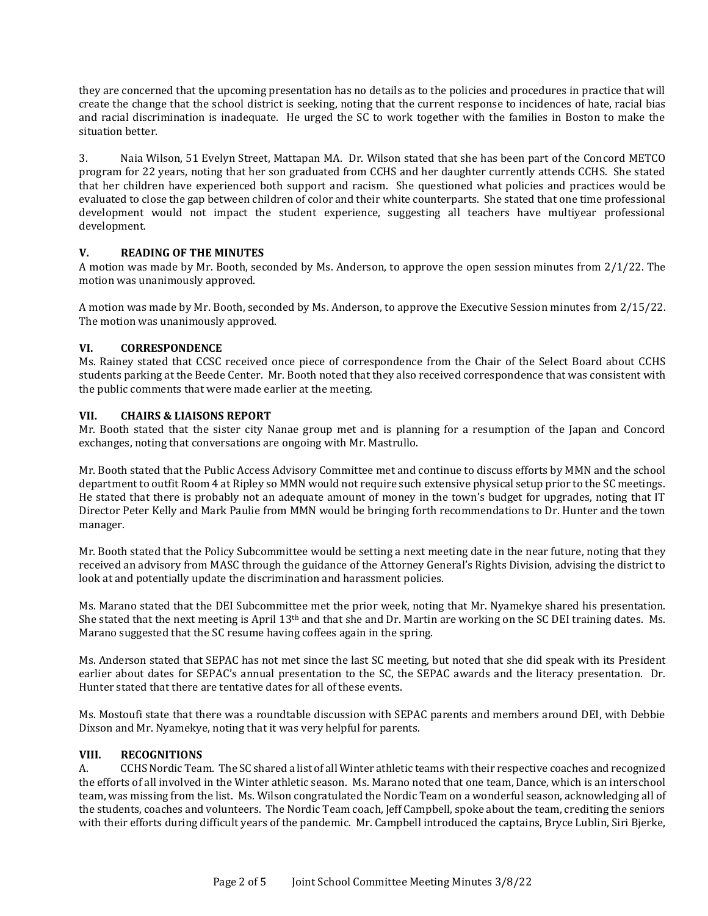they are concerned that the upcoming presentation has no details as to the policies and procedures in practice that will create the change that the school district is seeking, noting that the current response to incidences of hate, racial bias and racial discrimination is inadequate. He urged the SC to work together with the families in Boston to make the situation better.

3. Naia Wilson, 51 Evelyn Street, Mattapan MA. Dr. Wilson stated that she has been part of the Concord METCO program for 22 years, noting that her son graduated from CCHS and her daughter currently attends CCHS. She stated that her children have experienced both support and racism. She questioned what policies and practices would be evaluated to close the gap between children of color and their white counterparts. She stated that one time professional development would not impact the student experience, suggesting all teachers have multiyear professional development.

#### **V. READING OF THE MINUTES**

A motion was made by Mr. Booth, seconded by Ms. Anderson, to approve the open session minutes from 2/1/22. The motion was unanimously approved.

A motion was made by Mr. Booth, seconded by Ms. Anderson, to approve the Executive Session minutes from 2/15/22. The motion was unanimously approved.

## **VI. CORRESPONDENCE**

Ms. Rainey stated that CCSC received once piece of correspondence from the Chair of the Select Board about CCHS students parking at the Beede Center. Mr. Booth noted that they also received correspondence that was consistent with the public comments that were made earlier at the meeting.

## **VII. CHAIRS & LIAISONS REPORT**

Mr. Booth stated that the sister city Nanae group met and is planning for a resumption of the Japan and Concord exchanges, noting that conversations are ongoing with Mr. Mastrullo.

Mr. Booth stated that the Public Access Advisory Committee met and continue to discuss efforts by MMN and the school department to outfit Room 4 at Ripley so MMN would not require such extensive physical setup prior to the SC meetings. He stated that there is probably not an adequate amount of money in the town's budget for upgrades, noting that IT Director Peter Kelly and Mark Paulie from MMN would be bringing forth recommendations to Dr. Hunter and the town manager.

Mr. Booth stated that the Policy Subcommittee would be setting a next meeting date in the near future, noting that they received an advisory from MASC through the guidance of the Attorney General's Rights Division, advising the district to look at and potentially update the discrimination and harassment policies.

Ms. Marano stated that the DEI Subcommittee met the prior week, noting that Mr. Nyamekye shared his presentation. She stated that the next meeting is April  $13<sup>th</sup>$  and that she and Dr. Martin are working on the SC DEI training dates. Ms. Marano suggested that the SC resume having coffees again in the spring.

Ms. Anderson stated that SEPAC has not met since the last SC meeting, but noted that she did speak with its President earlier about dates for SEPAC's annual presentation to the SC, the SEPAC awards and the literacy presentation. Dr. Hunter stated that there are tentative dates for all of these events.

Ms. Mostoufi state that there was a roundtable discussion with SEPAC parents and members around DEI, with Debbie Dixson and Mr. Nyamekye, noting that it was very helpful for parents.

#### **VIII. RECOGNITIONS**

A. CCHS Nordic Team. The SC shared a list of all Winter athletic teams with their respective coaches and recognized the efforts of all involved in the Winter athletic season. Ms. Marano noted that one team, Dance, which is an interschool team, was missing from the list. Ms. Wilson congratulated the Nordic Team on a wonderful season, acknowledging all of the students, coaches and volunteers. The Nordic Team coach, Jeff Campbell, spoke about the team, crediting the seniors with their efforts during difficult years of the pandemic. Mr. Campbell introduced the captains, Bryce Lublin, Siri Bjerke,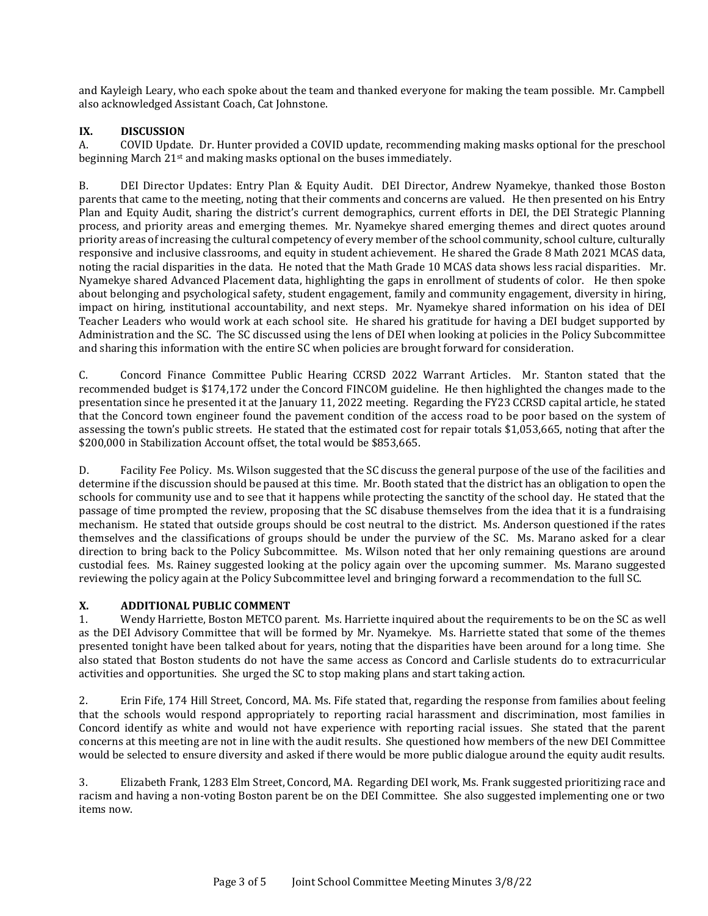and Kayleigh Leary, who each spoke about the team and thanked everyone for making the team possible. Mr. Campbell also acknowledged Assistant Coach, Cat Johnstone.

# **IX. DISCUSSION**

A. COVID Update. Dr. Hunter provided a COVID update, recommending making masks optional for the preschool beginning March 21st and making masks optional on the buses immediately.

B. DEI Director Updates: Entry Plan & Equity Audit. DEI Director, Andrew Nyamekye, thanked those Boston parents that came to the meeting, noting that their comments and concerns are valued. He then presented on his Entry Plan and Equity Audit, sharing the district's current demographics, current efforts in DEI, the DEI Strategic Planning process, and priority areas and emerging themes. Mr. Nyamekye shared emerging themes and direct quotes around priority areas of increasing the cultural competency of every member of the school community, school culture, culturally responsive and inclusive classrooms, and equity in student achievement. He shared the Grade 8 Math 2021 MCAS data, noting the racial disparities in the data. He noted that the Math Grade 10 MCAS data shows less racial disparities. Mr. Nyamekye shared Advanced Placement data, highlighting the gaps in enrollment of students of color. He then spoke about belonging and psychological safety, student engagement, family and community engagement, diversity in hiring, impact on hiring, institutional accountability, and next steps. Mr. Nyamekye shared information on his idea of DEI Teacher Leaders who would work at each school site. He shared his gratitude for having a DEI budget supported by Administration and the SC. The SC discussed using the lens of DEI when looking at policies in the Policy Subcommittee and sharing this information with the entire SC when policies are brought forward for consideration.

C. Concord Finance Committee Public Hearing CCRSD 2022 Warrant Articles. Mr. Stanton stated that the recommended budget is \$174,172 under the Concord FINCOM guideline. He then highlighted the changes made to the presentation since he presented it at the January 11, 2022 meeting. Regarding the FY23 CCRSD capital article, he stated that the Concord town engineer found the pavement condition of the access road to be poor based on the system of assessing the town's public streets. He stated that the estimated cost for repair totals \$1,053,665, noting that after the \$200,000 in Stabilization Account offset, the total would be \$853,665.

D. Facility Fee Policy. Ms. Wilson suggested that the SC discuss the general purpose of the use of the facilities and determine if the discussion should be paused at this time. Mr. Booth stated that the district has an obligation to open the schools for community use and to see that it happens while protecting the sanctity of the school day. He stated that the passage of time prompted the review, proposing that the SC disabuse themselves from the idea that it is a fundraising mechanism. He stated that outside groups should be cost neutral to the district. Ms. Anderson questioned if the rates themselves and the classifications of groups should be under the purview of the SC. Ms. Marano asked for a clear direction to bring back to the Policy Subcommittee. Ms. Wilson noted that her only remaining questions are around custodial fees. Ms. Rainey suggested looking at the policy again over the upcoming summer. Ms. Marano suggested reviewing the policy again at the Policy Subcommittee level and bringing forward a recommendation to the full SC.

# **X. ADDITIONAL PUBLIC COMMENT**

1. Wendy Harriette, Boston METCO parent. Ms. Harriette inquired about the requirements to be on the SC as well as the DEI Advisory Committee that will be formed by Mr. Nyamekye. Ms. Harriette stated that some of the themes presented tonight have been talked about for years, noting that the disparities have been around for a long time. She also stated that Boston students do not have the same access as Concord and Carlisle students do to extracurricular activities and opportunities. She urged the SC to stop making plans and start taking action.

2. Erin Fife, 174 Hill Street, Concord, MA. Ms. Fife stated that, regarding the response from families about feeling that the schools would respond appropriately to reporting racial harassment and discrimination, most families in Concord identify as white and would not have experience with reporting racial issues. She stated that the parent concerns at this meeting are not in line with the audit results. She questioned how members of the new DEI Committee would be selected to ensure diversity and asked if there would be more public dialogue around the equity audit results.

3. Elizabeth Frank, 1283 Elm Street, Concord, MA. Regarding DEI work, Ms. Frank suggested prioritizing race and racism and having a non-voting Boston parent be on the DEI Committee. She also suggested implementing one or two items now.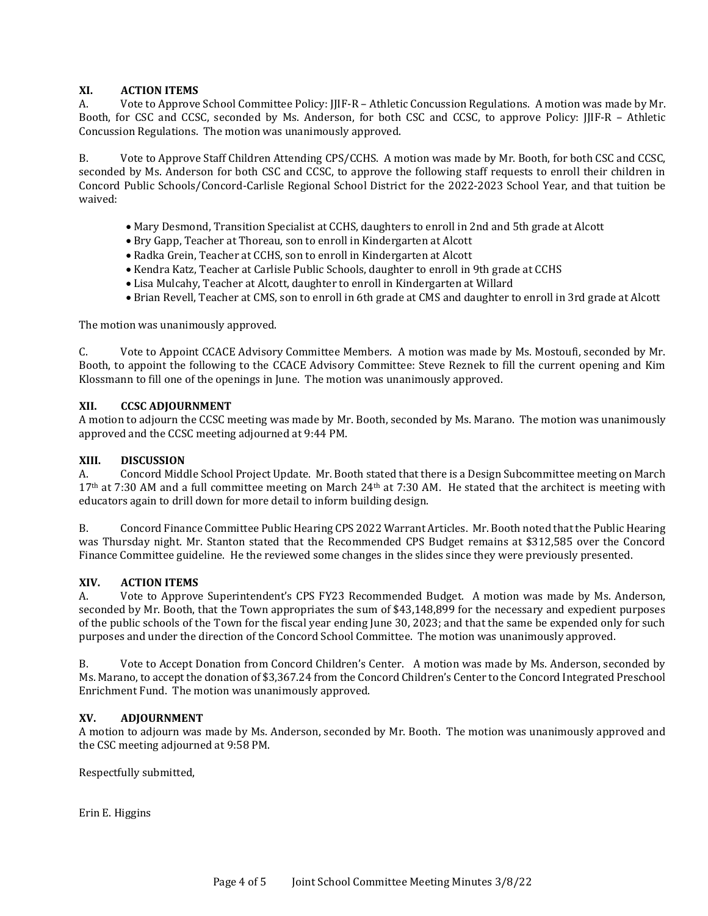## **XI. ACTION ITEMS**

A. Vote to Approve School Committee Policy: JJIF-R – Athletic Concussion Regulations. A motion was made by Mr. Booth, for CSC and CCSC, seconded by Ms. Anderson, for both CSC and CCSC, to approve Policy: JJIF-R – Athletic Concussion Regulations. The motion was unanimously approved.

B. Vote to Approve Staff Children Attending CPS/CCHS. A motion was made by Mr. Booth, for both CSC and CCSC, seconded by Ms. Anderson for both CSC and CCSC, to approve the following staff requests to enroll their children in Concord Public Schools/Concord-Carlisle Regional School District for the 2022-2023 School Year, and that tuition be waived:

- Mary Desmond, Transition Specialist at CCHS, daughters to enroll in 2nd and 5th grade at Alcott
- Bry Gapp, Teacher at Thoreau, son to enroll in Kindergarten at Alcott
- Radka Grein, Teacher at CCHS, son to enroll in Kindergarten at Alcott
- Kendra Katz, Teacher at Carlisle Public Schools, daughter to enroll in 9th grade at CCHS
- Lisa Mulcahy, Teacher at Alcott, daughter to enroll in Kindergarten at Willard
- Brian Revell, Teacher at CMS, son to enroll in 6th grade at CMS and daughter to enroll in 3rd grade at Alcott

The motion was unanimously approved.

C. Vote to Appoint CCACE Advisory Committee Members. A motion was made by Ms. Mostoufi, seconded by Mr. Booth, to appoint the following to the CCACE Advisory Committee: Steve Reznek to fill the current opening and Kim Klossmann to fill one of the openings in June. The motion was unanimously approved.

#### **XII. CCSC ADJOURNMENT**

A motion to adjourn the CCSC meeting was made by Mr. Booth, seconded by Ms. Marano. The motion was unanimously approved and the CCSC meeting adjourned at 9:44 PM.

#### **XIII. DISCUSSION**

A. Concord Middle School Project Update. Mr. Booth stated that there is a Design Subcommittee meeting on March  $17<sup>th</sup>$  at 7:30 AM and a full committee meeting on March  $24<sup>th</sup>$  at 7:30 AM. He stated that the architect is meeting with educators again to drill down for more detail to inform building design.

B. Concord Finance Committee Public Hearing CPS 2022 Warrant Articles. Mr. Booth noted that the Public Hearing was Thursday night. Mr. Stanton stated that the Recommended CPS Budget remains at \$312,585 over the Concord Finance Committee guideline. He the reviewed some changes in the slides since they were previously presented.

#### **XIV. ACTION ITEMS**

A. Vote to Approve Superintendent's CPS FY23 Recommended Budget. A motion was made by Ms. Anderson, seconded by Mr. Booth, that the Town appropriates the sum of \$43,148,899 for the necessary and expedient purposes of the public schools of the Town for the fiscal year ending June 30, 2023; and that the same be expended only for such purposes and under the direction of the Concord School Committee. The motion was unanimously approved.

B. Vote to Accept Donation from Concord Children's Center. A motion was made by Ms. Anderson, seconded by Ms. Marano, to accept the donation of \$3,367.24 from the Concord Children's Center to the Concord Integrated Preschool Enrichment Fund. The motion was unanimously approved.

#### **XV. ADJOURNMENT**

A motion to adjourn was made by Ms. Anderson, seconded by Mr. Booth. The motion was unanimously approved and the CSC meeting adjourned at 9:58 PM.

Respectfully submitted,

Erin E. Higgins